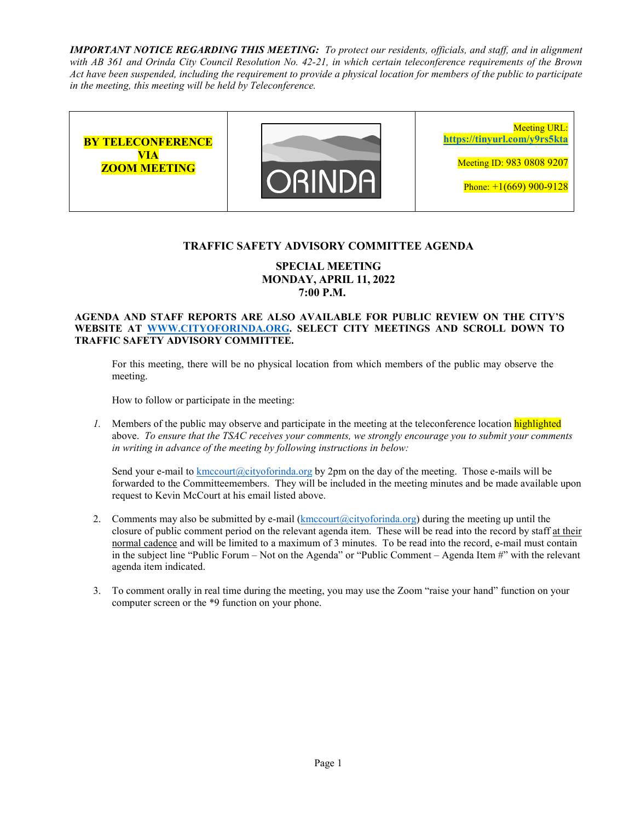*IMPORTANT NOTICE REGARDING THIS MEETING: To protect our residents, officials, and staff, and in alignment with AB 361 and Orinda City Council Resolution No. 42-21, in which certain teleconference requirements of the Brown Act have been suspended, including the requirement to provide a physical location for members of the public to participate in the meeting, this meeting will be held by Teleconference.* 



## **TRAFFIC SAFETY ADVISORY COMMITTEE AGENDA**

## **SPECIAL MEETING MONDAY, APRIL 11, 2022 7:00 P.M.**

#### **AGENDA AND STAFF REPORTS ARE ALSO AVAILABLE FOR PUBLIC REVIEW ON THE CITY'S WEBSITE AT WWW.CITYOFORINDA.ORG. SELECT CITY MEETINGS AND SCROLL DOWN TO TRAFFIC SAFETY ADVISORY COMMITTEE.**

For this meeting, there will be no physical location from which members of the public may observe the meeting.

How to follow or participate in the meeting:

*1.* Members of the public may observe and participate in the meeting at the teleconference location highlighted above. *To ensure that the TSAC receives your comments, we strongly encourage you to submit your comments in writing in advance of the meeting by following instructions in below:* 

Send your e-mail to kmccourt (a)cityoforinda.org by 2pm on the day of the meeting. Those e-mails will be forwarded to the Committeemembers. They will be included in the meeting minutes and be made available upon request to Kevin McCourt at his email listed above.

- 2. Comments may also be submitted by e-mail  $(kmccourt@cityoforida.org)$  during the meeting up until the closure of public comment period on the relevant agenda item. These will be read into the record by staff at their normal cadence and will be limited to a maximum of 3 minutes. To be read into the record, e-mail must contain in the subject line "Public Forum – Not on the Agenda" or "Public Comment – Agenda Item #" with the relevant agenda item indicated.
- 3. To comment orally in real time during the meeting, you may use the Zoom "raise your hand" function on your computer screen or the \*9 function on your phone.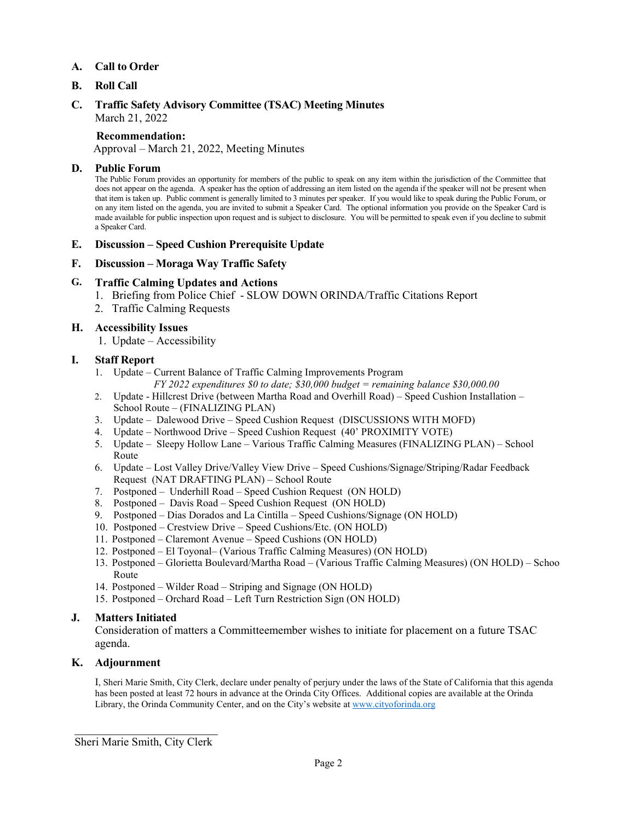## **A. Call to Order**

## **B. Roll Call**

### **C. Traffic Safety Advisory Committee (TSAC) Meeting Minutes**  March 21, 2022

#### **Recommendation:**

Approval – March 21, 2022, Meeting Minutes

#### **D. Public Forum**

The Public Forum provides an opportunity for members of the public to speak on any item within the jurisdiction of the Committee that does not appear on the agenda. A speaker has the option of addressing an item listed on the agenda if the speaker will not be present when that item is taken up. Public comment is generally limited to 3 minutes per speaker. If you would like to speak during the Public Forum, or on any item listed on the agenda, you are invited to submit a Speaker Card. The optional information you provide on the Speaker Card is made available for public inspection upon request and is subject to disclosure. You will be permitted to speak even if you decline to submit a Speaker Card.

#### **E. Discussion – Speed Cushion Prerequisite Update**

#### **F. Discussion – Moraga Way Traffic Safety**

#### **G. Traffic Calming Updates and Actions**

- 1. Briefing from Police Chief SLOW DOWN ORINDA/Traffic Citations Report
- 2. Traffic Calming Requests

#### **H. Accessibility Issues**

1. Update – Accessibility

#### **I. Staff Report**

1. Update – Current Balance of Traffic Calming Improvements Program

*FY 2022 expenditures \$0 to date; \$30,000 budget = remaining balance \$30,000.00* 

- 2. Update Hillcrest Drive (between Martha Road and Overhill Road) Speed Cushion Installation School Route – (FINALIZING PLAN)
- 3. Update Dalewood Drive Speed Cushion Request (DISCUSSIONS WITH MOFD)
- 4. Update Northwood Drive Speed Cushion Request (40' PROXIMITY VOTE)
- 5. Update Sleepy Hollow Lane Various Traffic Calming Measures (FINALIZING PLAN) School Route
- 6. Update Lost Valley Drive/Valley View Drive Speed Cushions/Signage/Striping/Radar Feedback Request (NAT DRAFTING PLAN) – School Route
- 7. Postponed Underhill Road Speed Cushion Request (ON HOLD)
- 8. Postponed Davis Road Speed Cushion Request (ON HOLD)
- 9. Postponed Dias Dorados and La Cintilla Speed Cushions/Signage (ON HOLD)
- 10. Postponed Crestview Drive Speed Cushions/Etc. (ON HOLD)
- 11. Postponed Claremont Avenue Speed Cushions (ON HOLD)
- 12. Postponed El Toyonal– (Various Traffic Calming Measures) (ON HOLD)
- 13. Postponed Glorietta Boulevard/Martha Road (Various Traffic Calming Measures) (ON HOLD) School Route
- 14. Postponed Wilder Road Striping and Signage (ON HOLD)
- 15. Postponed Orchard Road Left Turn Restriction Sign (ON HOLD)

#### **J. Matters Initiated**

Consideration of matters a Committeemember wishes to initiate for placement on a future TSAC agenda.

#### **K. Adjournment**

I, Sheri Marie Smith, City Clerk, declare under penalty of perjury under the laws of the State of California that this agenda has been posted at least 72 hours in advance at the Orinda City Offices. Additional copies are available at the Orinda Library, the Orinda Community Center, and on the City's website at www.cityoforinda.org

\_\_\_\_\_\_\_\_\_\_\_\_\_\_\_\_\_\_\_\_\_\_\_ Sheri Marie Smith, City Clerk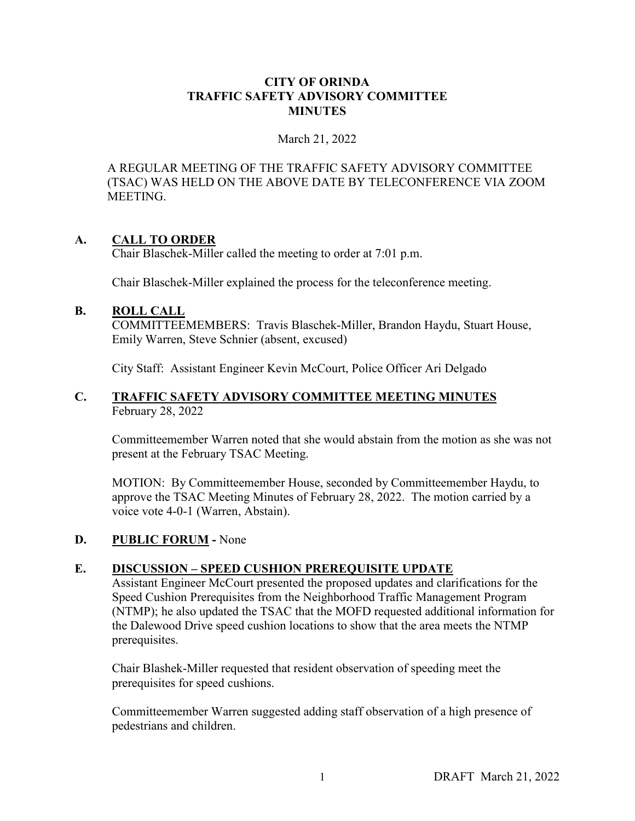## **CITY OF ORINDA TRAFFIC SAFETY ADVISORY COMMITTEE MINUTES**

## March 21, 2022

A REGULAR MEETING OF THE TRAFFIC SAFETY ADVISORY COMMITTEE (TSAC) WAS HELD ON THE ABOVE DATE BY TELECONFERENCE VIA ZOOM MEETING.

# **A. CALL TO ORDER**

Chair Blaschek-Miller called the meeting to order at 7:01 p.m.

Chair Blaschek-Miller explained the process for the teleconference meeting.

# **B. ROLL CALL**

COMMITTEEMEMBERS: Travis Blaschek-Miller, Brandon Haydu, Stuart House, Emily Warren, Steve Schnier (absent, excused)

City Staff: Assistant Engineer Kevin McCourt, Police Officer Ari Delgado

## **C. TRAFFIC SAFETY ADVISORY COMMITTEE MEETING MINUTES** February 28, 2022

Committeemember Warren noted that she would abstain from the motion as she was not present at the February TSAC Meeting.

MOTION: By Committeemember House, seconded by Committeemember Haydu, to approve the TSAC Meeting Minutes of February 28, 2022. The motion carried by a voice vote 4-0-1 (Warren, Abstain).

# **D. PUBLIC FORUM -** None

# **E. DISCUSSION – SPEED CUSHION PREREQUISITE UPDATE**

Assistant Engineer McCourt presented the proposed updates and clarifications for the Speed Cushion Prerequisites from the Neighborhood Traffic Management Program (NTMP); he also updated the TSAC that the MOFD requested additional information for the Dalewood Drive speed cushion locations to show that the area meets the NTMP prerequisites.

Chair Blashek-Miller requested that resident observation of speeding meet the prerequisites for speed cushions.

Committeemember Warren suggested adding staff observation of a high presence of pedestrians and children.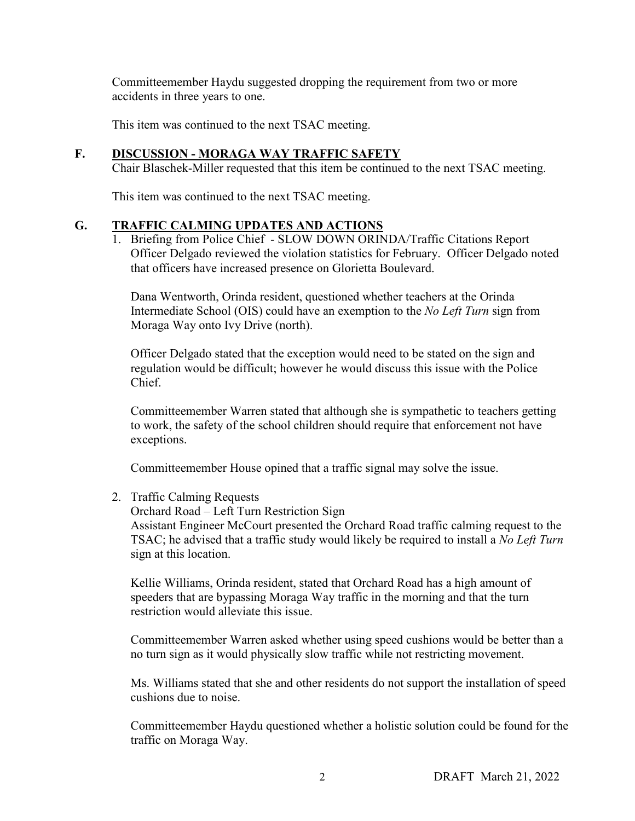Committeemember Haydu suggested dropping the requirement from two or more accidents in three years to one.

This item was continued to the next TSAC meeting.

## **F. DISCUSSION - MORAGA WAY TRAFFIC SAFETY**

Chair Blaschek-Miller requested that this item be continued to the next TSAC meeting.

This item was continued to the next TSAC meeting.

## **G. TRAFFIC CALMING UPDATES AND ACTIONS**

1. Briefing from Police Chief - SLOW DOWN ORINDA/Traffic Citations Report Officer Delgado reviewed the violation statistics for February. Officer Delgado noted that officers have increased presence on Glorietta Boulevard.

Dana Wentworth, Orinda resident, questioned whether teachers at the Orinda Intermediate School (OIS) could have an exemption to the *No Left Turn* sign from Moraga Way onto Ivy Drive (north).

Officer Delgado stated that the exception would need to be stated on the sign and regulation would be difficult; however he would discuss this issue with the Police Chief.

Committeemember Warren stated that although she is sympathetic to teachers getting to work, the safety of the school children should require that enforcement not have exceptions.

Committeemember House opined that a traffic signal may solve the issue.

## 2. Traffic Calming Requests

Orchard Road – Left Turn Restriction Sign

Assistant Engineer McCourt presented the Orchard Road traffic calming request to the TSAC; he advised that a traffic study would likely be required to install a *No Left Turn* sign at this location.

Kellie Williams, Orinda resident, stated that Orchard Road has a high amount of speeders that are bypassing Moraga Way traffic in the morning and that the turn restriction would alleviate this issue.

Committeemember Warren asked whether using speed cushions would be better than a no turn sign as it would physically slow traffic while not restricting movement.

Ms. Williams stated that she and other residents do not support the installation of speed cushions due to noise.

Committeemember Haydu questioned whether a holistic solution could be found for the traffic on Moraga Way.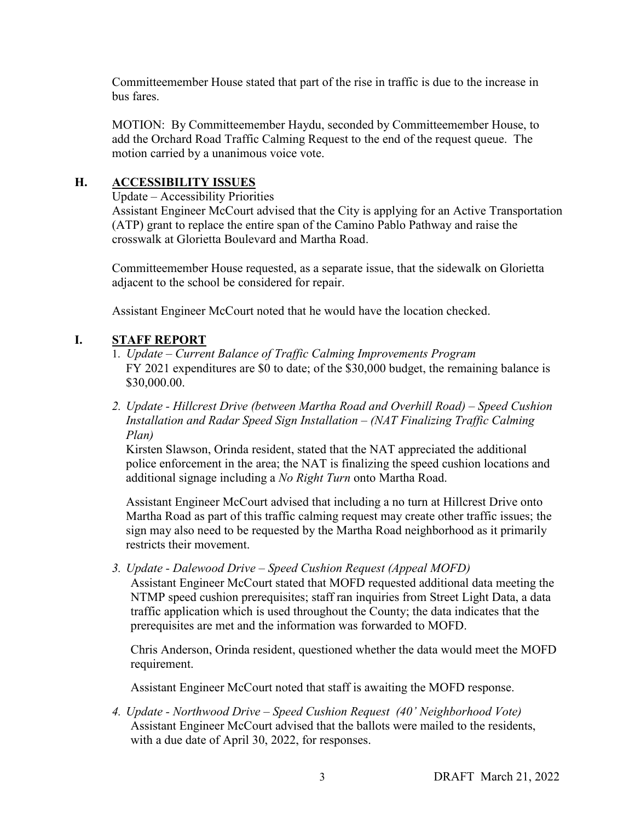Committeemember House stated that part of the rise in traffic is due to the increase in bus fares.

MOTION: By Committeemember Haydu, seconded by Committeemember House, to add the Orchard Road Traffic Calming Request to the end of the request queue. The motion carried by a unanimous voice vote.

# **H. ACCESSIBILITY ISSUES**

Update – Accessibility Priorities

 Assistant Engineer McCourt advised that the City is applying for an Active Transportation (ATP) grant to replace the entire span of the Camino Pablo Pathway and raise the crosswalk at Glorietta Boulevard and Martha Road.

 Committeemember House requested, as a separate issue, that the sidewalk on Glorietta adjacent to the school be considered for repair.

Assistant Engineer McCourt noted that he would have the location checked.

# **I. STAFF REPORT**

- 1. *Update Current Balance of Traffic Calming Improvements Program* FY 2021 expenditures are \$0 to date; of the \$30,000 budget, the remaining balance is \$30,000.00.
- *2. Update Hillcrest Drive (between Martha Road and Overhill Road) Speed Cushion Installation and Radar Speed Sign Installation – (NAT Finalizing Traffic Calming Plan)*

Kirsten Slawson, Orinda resident, stated that the NAT appreciated the additional police enforcement in the area; the NAT is finalizing the speed cushion locations and additional signage including a *No Right Turn* onto Martha Road.

Assistant Engineer McCourt advised that including a no turn at Hillcrest Drive onto Martha Road as part of this traffic calming request may create other traffic issues; the sign may also need to be requested by the Martha Road neighborhood as it primarily restricts their movement.

*3. Update - Dalewood Drive – Speed Cushion Request (Appeal MOFD)* 

Assistant Engineer McCourt stated that MOFD requested additional data meeting the NTMP speed cushion prerequisites; staff ran inquiries from Street Light Data, a data traffic application which is used throughout the County; the data indicates that the prerequisites are met and the information was forwarded to MOFD.

Chris Anderson, Orinda resident, questioned whether the data would meet the MOFD requirement.

Assistant Engineer McCourt noted that staff is awaiting the MOFD response.

*4. Update - Northwood Drive – Speed Cushion Request (40' Neighborhood Vote)*  Assistant Engineer McCourt advised that the ballots were mailed to the residents, with a due date of April 30, 2022, for responses.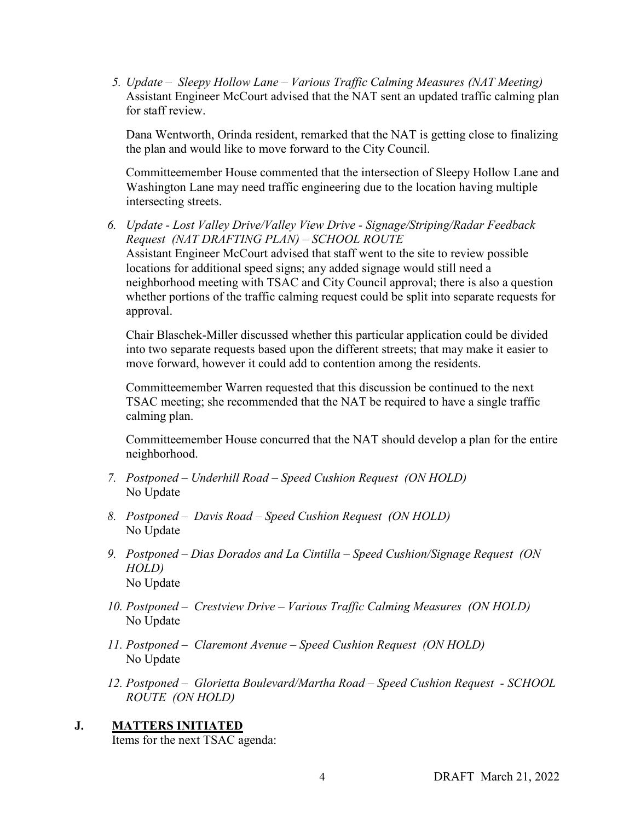*5. Update – Sleepy Hollow Lane – Various Traffic Calming Measures (NAT Meeting)*  Assistant Engineer McCourt advised that the NAT sent an updated traffic calming plan for staff review.

Dana Wentworth, Orinda resident, remarked that the NAT is getting close to finalizing the plan and would like to move forward to the City Council.

Committeemember House commented that the intersection of Sleepy Hollow Lane and Washington Lane may need traffic engineering due to the location having multiple intersecting streets.

*6. Update - Lost Valley Drive/Valley View Drive - Signage/Striping/Radar Feedback Request (NAT DRAFTING PLAN) – SCHOOL ROUTE* Assistant Engineer McCourt advised that staff went to the site to review possible locations for additional speed signs; any added signage would still need a neighborhood meeting with TSAC and City Council approval; there is also a question whether portions of the traffic calming request could be split into separate requests for approval.

Chair Blaschek-Miller discussed whether this particular application could be divided into two separate requests based upon the different streets; that may make it easier to move forward, however it could add to contention among the residents.

Committeemember Warren requested that this discussion be continued to the next TSAC meeting; she recommended that the NAT be required to have a single traffic calming plan.

Committeemember House concurred that the NAT should develop a plan for the entire neighborhood.

- *7. Postponed Underhill Road Speed Cushion Request (ON HOLD)*  No Update
- *8. Postponed Davis Road Speed Cushion Request (ON HOLD)*  No Update
- *9. Postponed Dias Dorados and La Cintilla Speed Cushion/Signage Request (ON HOLD)*  No Update
- *10. Postponed Crestview Drive Various Traffic Calming Measures (ON HOLD)*  No Update
- *11. Postponed Claremont Avenue Speed Cushion Request (ON HOLD)*  No Update
- *12. Postponed Glorietta Boulevard/Martha Road Speed Cushion Request SCHOOL ROUTE (ON HOLD)*

# **J. MATTERS INITIATED**

Items for the next TSAC agenda: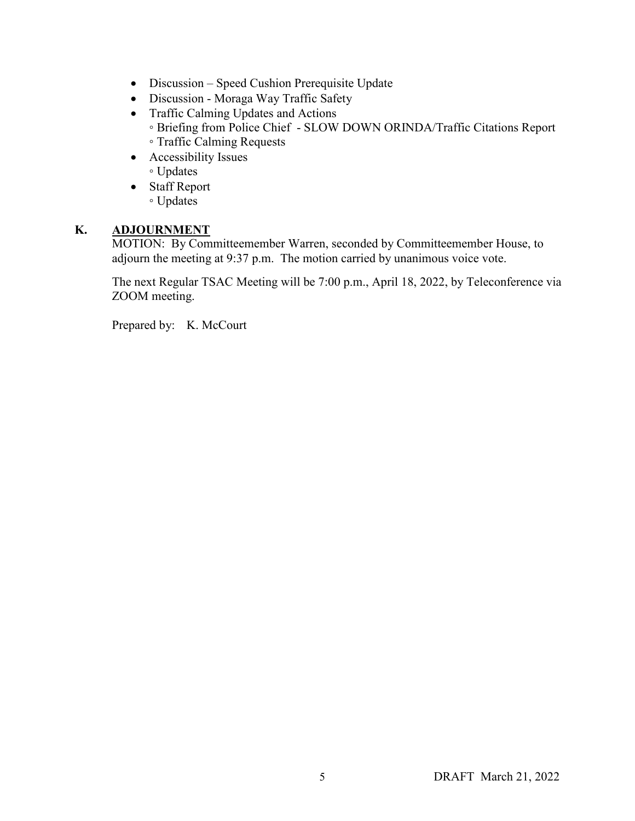- Discussion Speed Cushion Prerequisite Update
- Discussion Moraga Way Traffic Safety
- Traffic Calming Updates and Actions
	- Briefing from Police Chief SLOW DOWN ORINDA/Traffic Citations Report ◦ Traffic Calming Requests
- Accessibility Issues ◦ Updates
- Staff Report ◦ Updates

# **K. ADJOURNMENT**

MOTION: By Committeemember Warren, seconded by Committeemember House, to adjourn the meeting at 9:37 p.m. The motion carried by unanimous voice vote.

The next Regular TSAC Meeting will be 7:00 p.m., April 18, 2022, by Teleconference via ZOOM meeting.

Prepared by: K. McCourt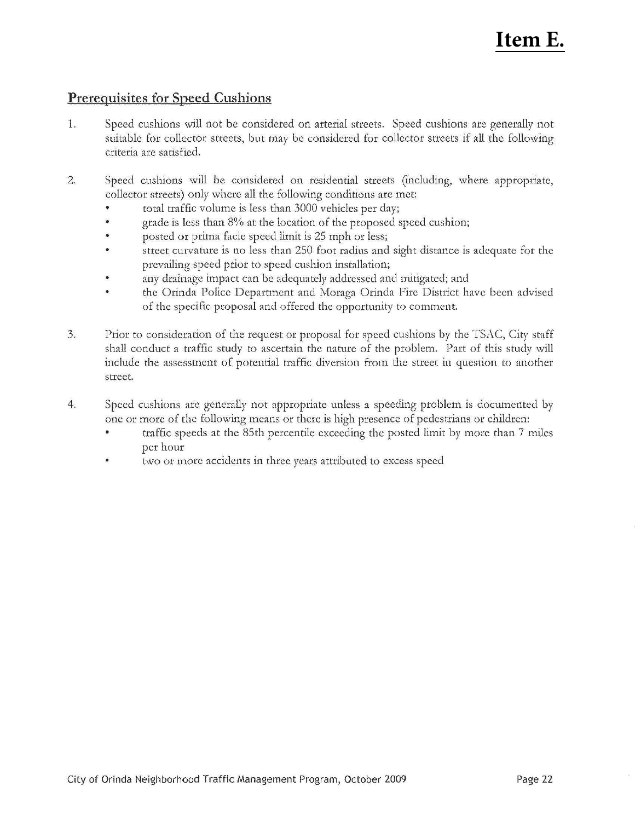# **Item E.**

# **Prerequisites for Speed Cushions**

- 1. Speed cushions will not be considered on arterial streets. Speed cushions arc generally not suitable for collector streets, but may be considered for collector streets if all the following criteria arc satisfied.
- 2. Speed cushions will be considered on residential streets (including, where appropriate, collector streets) only where all the following conditions arc met:
	- total traffic volume is less than 3000 vehicles per day;
	- grade is less than 8% at the location of the proposed speed cushion;
	- posted or prima facic speed limit is 25 mph or less;
	- street cutvature is no less than 250 foot radius and sight distance is adequate for the prevailing speed prior to speed cushion installation;
	- any drainage impact can be adequately addressed and mitigated; and
	- the Orinda Police Department and Moraga Orinda Fire District have been advised of the specific proposal and offered the opportunity to comment.
- 3. Prior to consideration of the request or proposal for speed cushions by the TSAC, City staff shall conduct a traffic study to ascertain the nature of the problem. Part of this study will include the assessment of potential traffic diversion from the street in question to another street.
- 4. Speed cushions are generally not appropriate unless a speeding problem is documented by one or more of the following means or there is high presence of pedestrians or children:
	- traffic speeds at the 85th percentile exceeding the posted limit by more than 7 miles per hour
	- two or more accidents in three years attributed to excess speed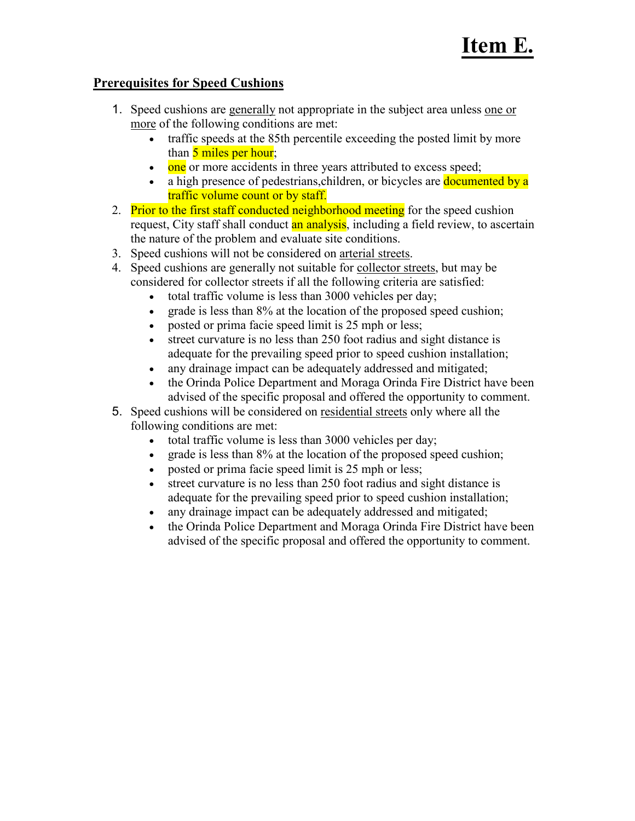# **Prerequisites for Speed Cushions**

- 1. Speed cushions are generally not appropriate in the subject area unless one or more of the following conditions are met:
	- traffic speeds at the 85th percentile exceeding the posted limit by more than 5 miles per hour;
	- one or more accidents in three years attributed to excess speed;
	- a high presence of pedestrians, children, or bicycles are documented by a traffic volume count or by staff.
- 2. Prior to the first staff conducted neighborhood meeting for the speed cushion request, City staff shall conduct an analysis, including a field review, to ascertain the nature of the problem and evaluate site conditions.
- 3. Speed cushions will not be considered on arterial streets.
- 4. Speed cushions are generally not suitable for collector streets, but may be considered for collector streets if all the following criteria are satisfied:
	- total traffic volume is less than 3000 vehicles per day;
	- grade is less than 8% at the location of the proposed speed cushion;
	- posted or prima facie speed limit is 25 mph or less;
	- street curvature is no less than 250 foot radius and sight distance is adequate for the prevailing speed prior to speed cushion installation;
	- any drainage impact can be adequately addressed and mitigated;
	- the Orinda Police Department and Moraga Orinda Fire District have been advised of the specific proposal and offered the opportunity to comment.
- 5. Speed cushions will be considered on residential streets only where all the following conditions are met:
	- total traffic volume is less than 3000 vehicles per day;
	- grade is less than 8% at the location of the proposed speed cushion;
	- posted or prima facie speed limit is 25 mph or less;
	- street curvature is no less than 250 foot radius and sight distance is adequate for the prevailing speed prior to speed cushion installation;
	- any drainage impact can be adequately addressed and mitigated;
	- the Orinda Police Department and Moraga Orinda Fire District have been advised of the specific proposal and offered the opportunity to comment.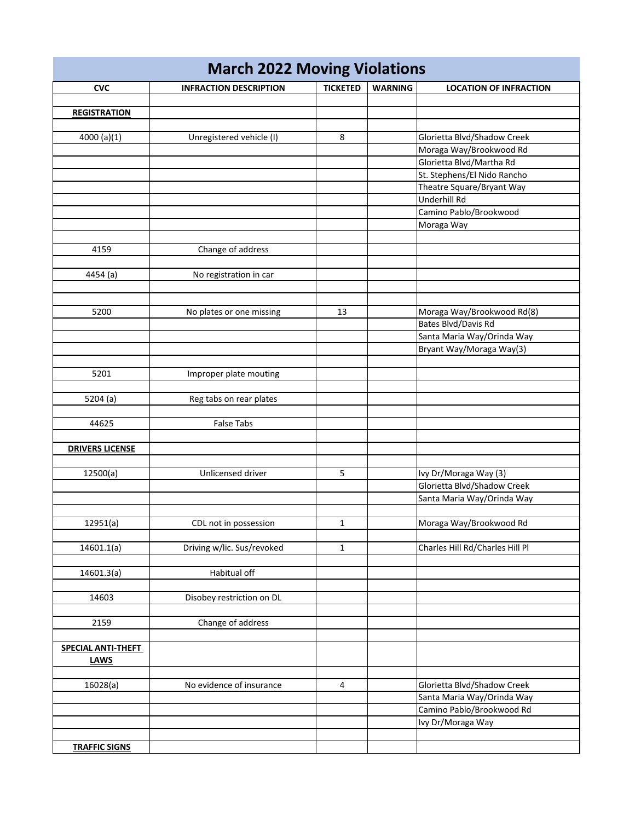| <b>March 2022 Moving Violations</b> |                               |                 |                |                                 |  |  |
|-------------------------------------|-------------------------------|-----------------|----------------|---------------------------------|--|--|
| <b>CVC</b>                          | <b>INFRACTION DESCRIPTION</b> | <b>TICKETED</b> | <b>WARNING</b> | <b>LOCATION OF INFRACTION</b>   |  |  |
|                                     |                               |                 |                |                                 |  |  |
| <b>REGISTRATION</b>                 |                               |                 |                |                                 |  |  |
|                                     |                               |                 |                |                                 |  |  |
| 4000 (a)(1)                         | Unregistered vehicle (I)      | 8               |                | Glorietta Blvd/Shadow Creek     |  |  |
|                                     |                               |                 |                | Moraga Way/Brookwood Rd         |  |  |
|                                     |                               |                 |                | Glorietta Blvd/Martha Rd        |  |  |
|                                     |                               |                 |                | St. Stephens/El Nido Rancho     |  |  |
|                                     |                               |                 |                | Theatre Square/Bryant Way       |  |  |
|                                     |                               |                 |                | Underhill Rd                    |  |  |
|                                     |                               |                 |                | Camino Pablo/Brookwood          |  |  |
|                                     |                               |                 |                | Moraga Way                      |  |  |
|                                     |                               |                 |                |                                 |  |  |
| 4159                                | Change of address             |                 |                |                                 |  |  |
|                                     |                               |                 |                |                                 |  |  |
| 4454 (a)                            | No registration in car        |                 |                |                                 |  |  |
|                                     |                               |                 |                |                                 |  |  |
|                                     |                               |                 |                |                                 |  |  |
| 5200                                | No plates or one missing      | 13              |                | Moraga Way/Brookwood Rd(8)      |  |  |
|                                     |                               |                 |                | Bates Blvd/Davis Rd             |  |  |
|                                     |                               |                 |                | Santa Maria Way/Orinda Way      |  |  |
|                                     |                               |                 |                | Bryant Way/Moraga Way(3)        |  |  |
|                                     |                               |                 |                |                                 |  |  |
| 5201                                | Improper plate mouting        |                 |                |                                 |  |  |
|                                     |                               |                 |                |                                 |  |  |
| 5204 (a)                            | Reg tabs on rear plates       |                 |                |                                 |  |  |
|                                     |                               |                 |                |                                 |  |  |
| 44625                               | <b>False Tabs</b>             |                 |                |                                 |  |  |
|                                     |                               |                 |                |                                 |  |  |
| <b>DRIVERS LICENSE</b>              |                               |                 |                |                                 |  |  |
|                                     |                               |                 |                |                                 |  |  |
| 12500(a)                            | Unlicensed driver             | 5               |                | Ivy Dr/Moraga Way (3)           |  |  |
|                                     |                               |                 |                | Glorietta Blvd/Shadow Creek     |  |  |
|                                     |                               |                 |                | Santa Maria Way/Orinda Way      |  |  |
|                                     |                               |                 |                |                                 |  |  |
| 12951(a)                            | CDL not in possession         | $\mathbf{1}$    |                | Moraga Way/Brookwood Rd         |  |  |
|                                     |                               |                 |                |                                 |  |  |
| 14601.1(a)                          | Driving w/lic. Sus/revoked    | $\mathbf{1}$    |                | Charles Hill Rd/Charles Hill Pl |  |  |
|                                     |                               |                 |                |                                 |  |  |
| 14601.3(a)                          | Habitual off                  |                 |                |                                 |  |  |
|                                     |                               |                 |                |                                 |  |  |
| 14603                               | Disobey restriction on DL     |                 |                |                                 |  |  |
|                                     |                               |                 |                |                                 |  |  |
| 2159                                | Change of address             |                 |                |                                 |  |  |
|                                     |                               |                 |                |                                 |  |  |
| SPECIAL ANTI-THEFT                  |                               |                 |                |                                 |  |  |
| <b>LAWS</b>                         |                               |                 |                |                                 |  |  |
|                                     |                               |                 |                |                                 |  |  |
| 16028(a)                            | No evidence of insurance      | $\overline{4}$  |                | Glorietta Blvd/Shadow Creek     |  |  |
|                                     |                               |                 |                | Santa Maria Way/Orinda Way      |  |  |
|                                     |                               |                 |                | Camino Pablo/Brookwood Rd       |  |  |
|                                     |                               |                 |                | Ivy Dr/Moraga Way               |  |  |
|                                     |                               |                 |                |                                 |  |  |
| <b>TRAFFIC SIGNS</b>                |                               |                 |                |                                 |  |  |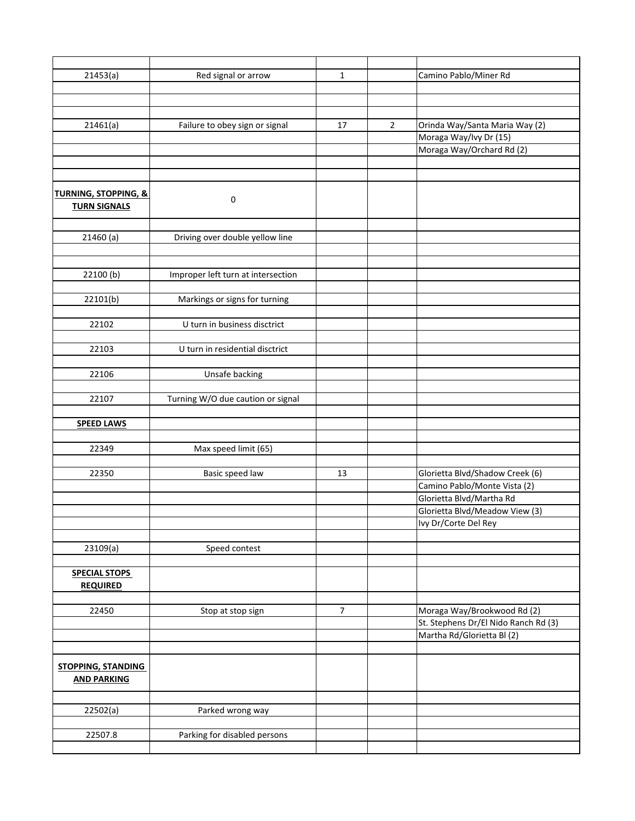| 21453(a)                        | Red signal or arrow                | $\mathbf{1}$   |                | Camino Pablo/Miner Rd                |
|---------------------------------|------------------------------------|----------------|----------------|--------------------------------------|
|                                 |                                    |                |                |                                      |
|                                 |                                    |                |                |                                      |
|                                 |                                    |                |                |                                      |
| 21461(a)                        | Failure to obey sign or signal     | 17             | $\overline{2}$ | Orinda Way/Santa Maria Way (2)       |
|                                 |                                    |                |                | Moraga Way/Ivy Dr (15)               |
|                                 |                                    |                |                | Moraga Way/Orchard Rd (2)            |
|                                 |                                    |                |                |                                      |
|                                 |                                    |                |                |                                      |
|                                 |                                    |                |                |                                      |
| <b>TURNING, STOPPING, &amp;</b> | 0                                  |                |                |                                      |
| <b>TURN SIGNALS</b>             |                                    |                |                |                                      |
|                                 |                                    |                |                |                                      |
| 21460(a)                        | Driving over double yellow line    |                |                |                                      |
|                                 |                                    |                |                |                                      |
|                                 |                                    |                |                |                                      |
| 22100(b)                        | Improper left turn at intersection |                |                |                                      |
|                                 |                                    |                |                |                                      |
| 22101(b)                        | Markings or signs for turning      |                |                |                                      |
|                                 |                                    |                |                |                                      |
| 22102                           | U turn in business disctrict       |                |                |                                      |
|                                 |                                    |                |                |                                      |
| 22103                           | U turn in residential disctrict    |                |                |                                      |
|                                 |                                    |                |                |                                      |
| 22106                           | Unsafe backing                     |                |                |                                      |
|                                 |                                    |                |                |                                      |
| 22107                           | Turning W/O due caution or signal  |                |                |                                      |
|                                 |                                    |                |                |                                      |
| <b>SPEED LAWS</b>               |                                    |                |                |                                      |
|                                 |                                    |                |                |                                      |
| 22349                           | Max speed limit (65)               |                |                |                                      |
|                                 |                                    |                |                |                                      |
| 22350                           | Basic speed law                    | 13             |                | Glorietta Blvd/Shadow Creek (6)      |
|                                 |                                    |                |                | Camino Pablo/Monte Vista (2)         |
|                                 |                                    |                |                | Glorietta Blvd/Martha Rd             |
|                                 |                                    |                |                | Glorietta Blvd/Meadow View (3)       |
|                                 |                                    |                |                | Ivy Dr/Corte Del Rey                 |
|                                 |                                    |                |                |                                      |
| 23109(a)                        | Speed contest                      |                |                |                                      |
|                                 |                                    |                |                |                                      |
| <b>SPECIAL STOPS</b>            |                                    |                |                |                                      |
| <b>REQUIRED</b>                 |                                    |                |                |                                      |
|                                 |                                    |                |                |                                      |
| 22450                           | Stop at stop sign                  | $\overline{7}$ |                | Moraga Way/Brookwood Rd (2)          |
|                                 |                                    |                |                | St. Stephens Dr/El Nido Ranch Rd (3) |
|                                 |                                    |                |                | Martha Rd/Glorietta Bl(2)            |
|                                 |                                    |                |                |                                      |
|                                 |                                    |                |                |                                      |
| <b>STOPPING, STANDING</b>       |                                    |                |                |                                      |
| <b>AND PARKING</b>              |                                    |                |                |                                      |
|                                 |                                    |                |                |                                      |
| 22502(a)                        | Parked wrong way                   |                |                |                                      |
|                                 |                                    |                |                |                                      |
| 22507.8                         | Parking for disabled persons       |                |                |                                      |
|                                 |                                    |                |                |                                      |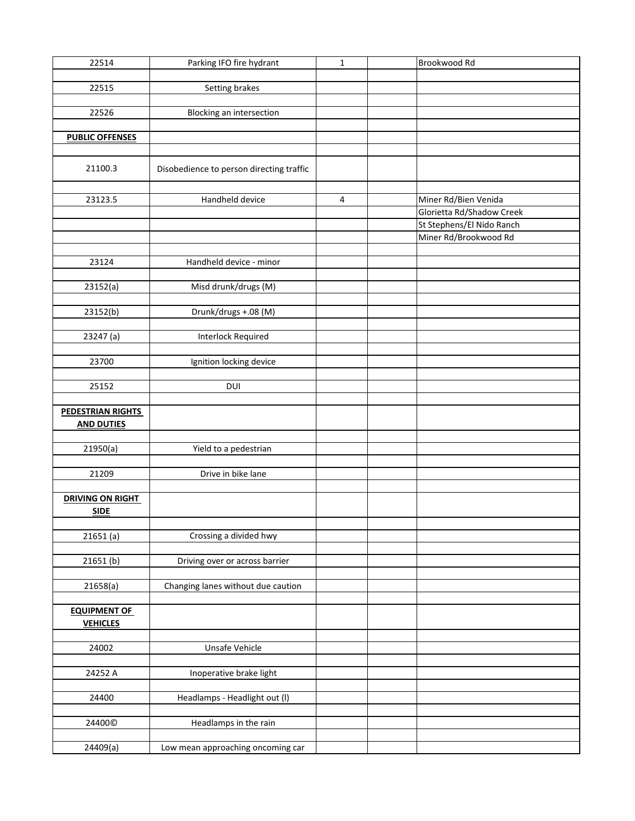| 22514                                  | Parking IFO fire hydrant                 | $\mathbf{1}$ | Brookwood Rd              |
|----------------------------------------|------------------------------------------|--------------|---------------------------|
|                                        |                                          |              |                           |
| 22515                                  | Setting brakes                           |              |                           |
|                                        |                                          |              |                           |
| 22526                                  | Blocking an intersection                 |              |                           |
|                                        |                                          |              |                           |
| <b>PUBLIC OFFENSES</b>                 |                                          |              |                           |
|                                        |                                          |              |                           |
| 21100.3                                | Disobedience to person directing traffic |              |                           |
|                                        |                                          |              |                           |
| 23123.5                                | Handheld device                          | 4            | Miner Rd/Bien Venida      |
|                                        |                                          |              | Glorietta Rd/Shadow Creek |
|                                        |                                          |              | St Stephens/El Nido Ranch |
|                                        |                                          |              | Miner Rd/Brookwood Rd     |
|                                        |                                          |              |                           |
| 23124                                  | Handheld device - minor                  |              |                           |
|                                        |                                          |              |                           |
| 23152(a)                               | Misd drunk/drugs (M)                     |              |                           |
|                                        |                                          |              |                           |
|                                        |                                          |              |                           |
| 23152(b)                               | Drunk/drugs +.08 (M)                     |              |                           |
|                                        |                                          |              |                           |
| 23247 (a)                              | <b>Interlock Required</b>                |              |                           |
|                                        |                                          |              |                           |
| 23700                                  | Ignition locking device                  |              |                           |
|                                        |                                          |              |                           |
| 25152                                  | <b>DUI</b>                               |              |                           |
|                                        |                                          |              |                           |
| <b>PEDESTRIAN RIGHTS</b>               |                                          |              |                           |
| <b>AND DUTIES</b>                      |                                          |              |                           |
|                                        |                                          |              |                           |
| 21950(a)                               | Yield to a pedestrian                    |              |                           |
|                                        |                                          |              |                           |
| 21209                                  | Drive in bike lane                       |              |                           |
|                                        |                                          |              |                           |
| <b>DRIVING ON RIGHT</b><br><b>SIDE</b> |                                          |              |                           |
|                                        |                                          |              |                           |
| 21651(a)                               | Crossing a divided hwy                   |              |                           |
|                                        |                                          |              |                           |
| 21651(b)                               | Driving over or across barrier           |              |                           |
|                                        |                                          |              |                           |
| 21658(a)                               | Changing lanes without due caution       |              |                           |
|                                        |                                          |              |                           |
| <b>EQUIPMENT OF</b>                    |                                          |              |                           |
| <b>VEHICLES</b>                        |                                          |              |                           |
|                                        |                                          |              |                           |
| 24002                                  | Unsafe Vehicle                           |              |                           |
|                                        |                                          |              |                           |
| 24252 A                                | Inoperative brake light                  |              |                           |
|                                        |                                          |              |                           |
|                                        |                                          |              |                           |
| 24400                                  | Headlamps - Headlight out (I)            |              |                           |
|                                        |                                          |              |                           |
| 24400©                                 | Headlamps in the rain                    |              |                           |
|                                        |                                          |              |                           |
| 24409(a)                               | Low mean approaching oncoming car        |              |                           |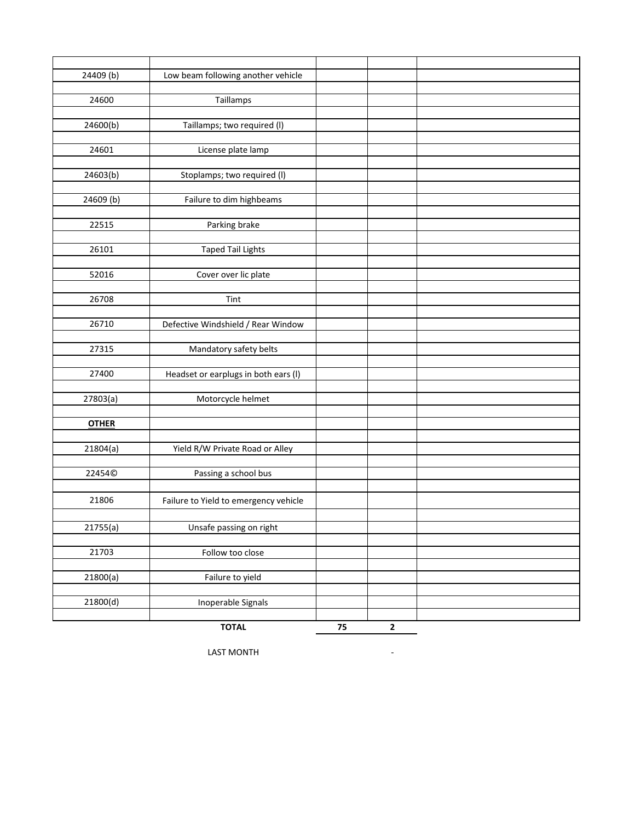| 24409 (b)    | Low beam following another vehicle    |    |              |  |
|--------------|---------------------------------------|----|--------------|--|
|              |                                       |    |              |  |
| 24600        | Taillamps                             |    |              |  |
|              |                                       |    |              |  |
| 24600(b)     | Taillamps; two required (I)           |    |              |  |
|              |                                       |    |              |  |
| 24601        | License plate lamp                    |    |              |  |
|              |                                       |    |              |  |
| 24603(b)     | Stoplamps; two required (I)           |    |              |  |
|              |                                       |    |              |  |
| 24609 (b)    | Failure to dim highbeams              |    |              |  |
|              |                                       |    |              |  |
| 22515        | Parking brake                         |    |              |  |
|              |                                       |    |              |  |
| 26101        | <b>Taped Tail Lights</b>              |    |              |  |
|              |                                       |    |              |  |
| 52016        | Cover over lic plate                  |    |              |  |
|              |                                       |    |              |  |
| 26708        | Tint                                  |    |              |  |
|              |                                       |    |              |  |
| 26710        | Defective Windshield / Rear Window    |    |              |  |
|              |                                       |    |              |  |
| 27315        | Mandatory safety belts                |    |              |  |
|              |                                       |    |              |  |
| 27400        | Headset or earplugs in both ears (I)  |    |              |  |
|              |                                       |    |              |  |
| 27803(a)     | Motorcycle helmet                     |    |              |  |
|              |                                       |    |              |  |
| <b>OTHER</b> |                                       |    |              |  |
|              |                                       |    |              |  |
| 21804(a)     | Yield R/W Private Road or Alley       |    |              |  |
|              |                                       |    |              |  |
| 22454©       | Passing a school bus                  |    |              |  |
|              |                                       |    |              |  |
| 21806        | Failure to Yield to emergency vehicle |    |              |  |
|              |                                       |    |              |  |
| 21755(a)     | Unsafe passing on right               |    |              |  |
|              |                                       |    |              |  |
| 21703        | Follow too close                      |    |              |  |
|              |                                       |    |              |  |
|              | Failure to yield                      |    |              |  |
| 21800(a)     |                                       |    |              |  |
|              | Inoperable Signals                    |    |              |  |
| 21800(d)     |                                       |    |              |  |
|              |                                       |    |              |  |
|              | <b>TOTAL</b>                          | 75 | $\mathbf{2}$ |  |

LAST MONTH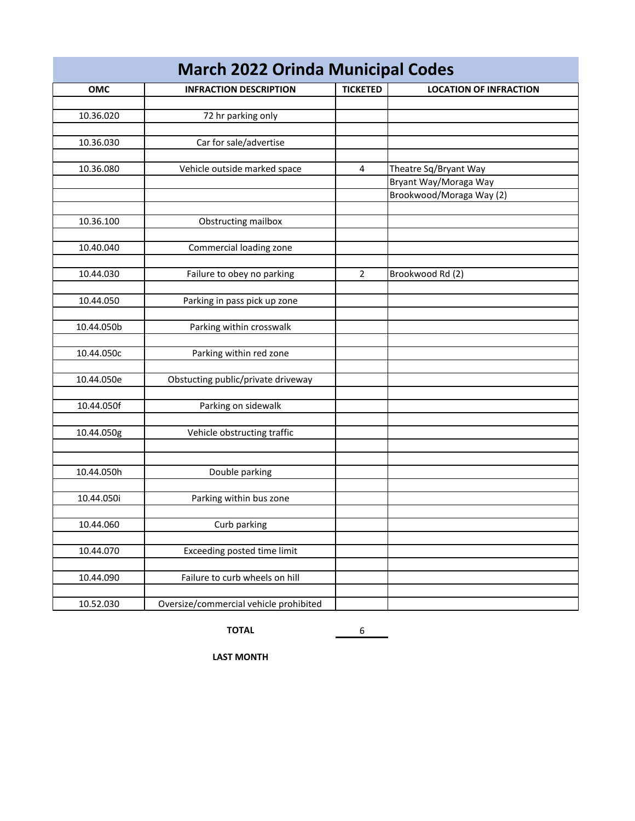| <b>March 2022 Orinda Municipal Codes</b> |                                        |                         |                          |  |  |  |
|------------------------------------------|----------------------------------------|-------------------------|--------------------------|--|--|--|
| OMC                                      | <b>LOCATION OF INFRACTION</b>          |                         |                          |  |  |  |
|                                          |                                        |                         |                          |  |  |  |
| 10.36.020                                | 72 hr parking only                     |                         |                          |  |  |  |
|                                          |                                        |                         |                          |  |  |  |
| 10.36.030                                | Car for sale/advertise                 |                         |                          |  |  |  |
| 10.36.080                                | Vehicle outside marked space           | $\overline{\mathbf{4}}$ | Theatre Sq/Bryant Way    |  |  |  |
|                                          |                                        |                         | Bryant Way/Moraga Way    |  |  |  |
|                                          |                                        |                         | Brookwood/Moraga Way (2) |  |  |  |
|                                          |                                        |                         |                          |  |  |  |
| 10.36.100                                | Obstructing mailbox                    |                         |                          |  |  |  |
|                                          |                                        |                         |                          |  |  |  |
| 10.40.040                                | Commercial loading zone                |                         |                          |  |  |  |
|                                          |                                        |                         |                          |  |  |  |
| 10.44.030                                | Failure to obey no parking             | $\overline{2}$          | Brookwood Rd (2)         |  |  |  |
|                                          |                                        |                         |                          |  |  |  |
| 10.44.050                                | Parking in pass pick up zone           |                         |                          |  |  |  |
| 10.44.050b                               | Parking within crosswalk               |                         |                          |  |  |  |
|                                          |                                        |                         |                          |  |  |  |
| 10.44.050c                               | Parking within red zone                |                         |                          |  |  |  |
|                                          |                                        |                         |                          |  |  |  |
| 10.44.050e                               | Obstucting public/private driveway     |                         |                          |  |  |  |
|                                          |                                        |                         |                          |  |  |  |
| 10.44.050f                               | Parking on sidewalk                    |                         |                          |  |  |  |
|                                          |                                        |                         |                          |  |  |  |
| 10.44.050g                               | Vehicle obstructing traffic            |                         |                          |  |  |  |
|                                          |                                        |                         |                          |  |  |  |
|                                          |                                        |                         |                          |  |  |  |
| 10.44.050h                               | Double parking                         |                         |                          |  |  |  |
| 10.44.050i                               | Parking within bus zone                |                         |                          |  |  |  |
|                                          |                                        |                         |                          |  |  |  |
| 10.44.060                                | Curb parking                           |                         |                          |  |  |  |
|                                          |                                        |                         |                          |  |  |  |
| 10.44.070                                | Exceeding posted time limit            |                         |                          |  |  |  |
|                                          |                                        |                         |                          |  |  |  |
| 10.44.090                                | Failure to curb wheels on hill         |                         |                          |  |  |  |
|                                          |                                        |                         |                          |  |  |  |
| 10.52.030                                | Oversize/commercial vehicle prohibited |                         |                          |  |  |  |

**TOTAL** 6

**LAST MONTH**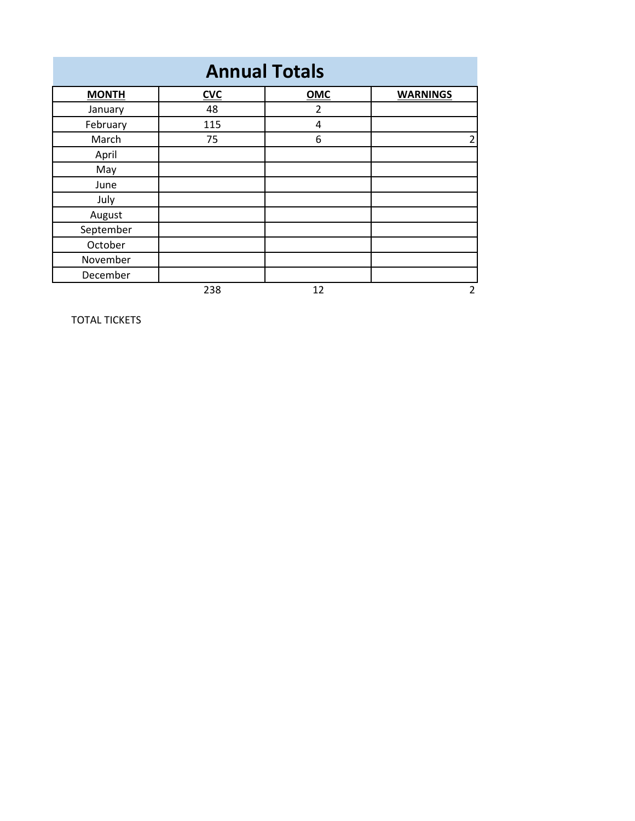| <b>Annual Totals</b> |            |                |                 |  |  |
|----------------------|------------|----------------|-----------------|--|--|
| <b>MONTH</b>         | <b>CVC</b> | OMC            | <b>WARNINGS</b> |  |  |
| January              | 48         | $\overline{2}$ |                 |  |  |
| February             | 115        | 4              |                 |  |  |
| March                | 75         | 6              | 2               |  |  |
| April                |            |                |                 |  |  |
| May                  |            |                |                 |  |  |
| June                 |            |                |                 |  |  |
| July                 |            |                |                 |  |  |
| August               |            |                |                 |  |  |
| September            |            |                |                 |  |  |
| October              |            |                |                 |  |  |
| November             |            |                |                 |  |  |
| December             |            |                |                 |  |  |
|                      | 238        | 12             | $\overline{2}$  |  |  |

TOTAL TICKETS